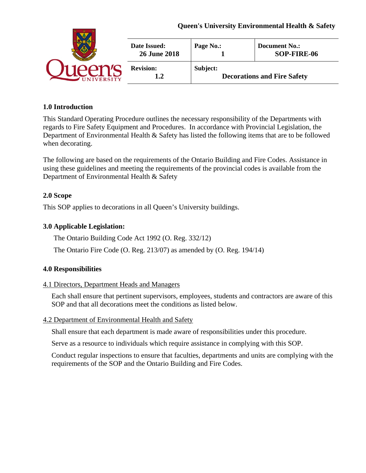## **Queen's University Environmental Health & Safety**

|                 | Date Issued:<br><b>26 June 2018</b> | Page No.: | <b>Document No.:</b><br>SOP-FIRE-06 |
|-----------------|-------------------------------------|-----------|-------------------------------------|
| <b>IVERSITY</b> | <b>Revision:</b>                    | Subject:  | <b>Decorations and Fire Safety</b>  |

## **1.0 Introduction**

This Standard Operating Procedure outlines the necessary responsibility of the Departments with regards to Fire Safety Equipment and Procedures. In accordance with Provincial Legislation, the Department of Environmental Health & Safety has listed the following items that are to be followed when decorating.

The following are based on the requirements of the Ontario Building and Fire Codes. Assistance in using these guidelines and meeting the requirements of the provincial codes is available from the Department of Environmental Health & Safety

## **2.0 Scope**

This SOP applies to decorations in all Queen's University buildings.

## **3.0 Applicable Legislation:**

The Ontario Building Code Act 1992 (O. Reg. 332/12)

The Ontario Fire Code (O. Reg. 213/07) as amended by (O. Reg. 194/14)

## **4.0 Responsibilities**

## 4.1 Directors, Department Heads and Managers

Each shall ensure that pertinent supervisors, employees, students and contractors are aware of this SOP and that all decorations meet the conditions as listed below.

#### 4.2 Department of Environmental Health and Safety

Shall ensure that each department is made aware of responsibilities under this procedure.

Serve as a resource to individuals which require assistance in complying with this SOP.

Conduct regular inspections to ensure that faculties, departments and units are complying with the requirements of the SOP and the Ontario Building and Fire Codes.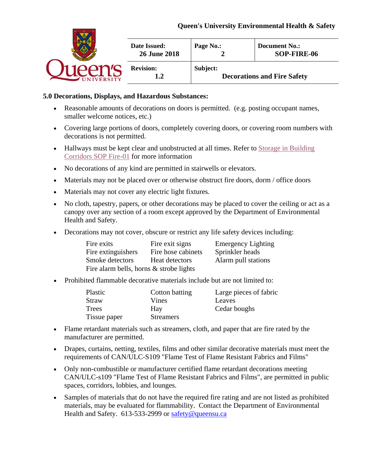## **Queen's University Environmental Health & Safety**

|                   | Date Issued:<br><b>26 June 2018</b> | Page No.: | <b>Document No.:</b><br>SOP-FIRE-06 |
|-------------------|-------------------------------------|-----------|-------------------------------------|
| <b>INIVERSITY</b> | <b>Revision:</b>                    | Subject:  | <b>Decorations and Fire Safety</b>  |

### **5.0 Decorations, Displays, and Hazardous Substances:**

- Reasonable amounts of decorations on doors is permitted. (e.g. posting occupant names, smaller welcome notices, etc.)
- Covering large portions of doors, completely covering doors, or covering room numbers with decorations is not permitted.
- Hallways must be kept clear and unobstructed at all times. Refer to Storage in Building [Corridors SOP Fire-01](https://www.safety.queensu.ca/sites/webpublish.queensu.ca.ehswww/files/files/Policies%20and%20SOP) for more information
- No decorations of any kind are permitted in stairwells or elevators.
- Materials may not be placed over or otherwise obstruct fire doors, dorm / office doors
- Materials may not cover any electric light fixtures.
- No cloth, tapestry, papers, or other decorations may be placed to cover the ceiling or act as a canopy over any section of a room except approved by the Department of Environmental Health and Safety.
- Decorations may not cover, obscure or restrict any life safety devices including:

| Fire exits                              | Fire exit signs    | <b>Emergency Lighting</b> |  |
|-----------------------------------------|--------------------|---------------------------|--|
| Fire extinguishers                      | Fire hose cabinets | Sprinkler heads           |  |
| Smoke detectors                         | Heat detectors     | Alarm pull stations       |  |
| Fire alarm bells, horns & strobe lights |                    |                           |  |

• Prohibited flammable decorative materials include but are not limited to:

| Plastic      | Cotton batting   | Large pieces of fabric |
|--------------|------------------|------------------------|
| Straw        | Vines            | Leaves                 |
| Trees        | Hav              | Cedar boughs           |
| Tissue paper | <b>Streamers</b> |                        |

- Flame retardant materials such as streamers, cloth, and paper that are fire rated by the manufacturer are permitted.
- Drapes, curtains, netting, textiles, films and other similar decorative materials must meet the requirements of CAN/ULC-S109 "Flame Test of Flame Resistant Fabrics and Films"
- Only non-combustible or manufacturer certified flame retardant decorations meeting CAN/ULC-s109 "Flame Test of Flame Resistant Fabrics and Films", are permitted in public spaces, corridors, lobbies, and lounges.
- Samples of materials that do not have the required fire rating and are not listed as prohibited materials, may be evaluated for flammability. Contact the Department of Environmental Health and Safety. 613-533-2999 or [safety@queensu.ca](mailto:safety@queensu.ca)